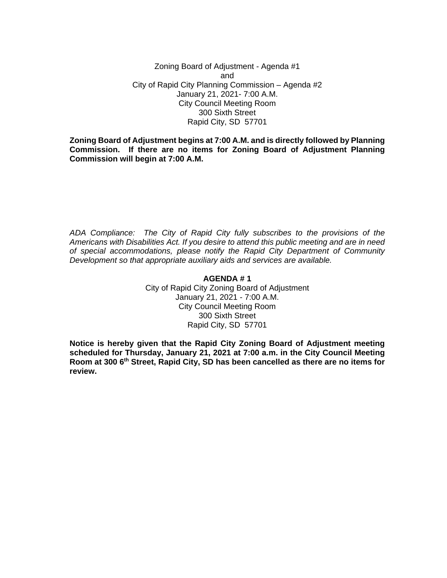Zoning Board of Adjustment - Agenda #1 and City of Rapid City Planning Commission – Agenda #2 January 21, 2021- 7:00 A.M. City Council Meeting Room 300 Sixth Street Rapid City, SD 57701

**Zoning Board of Adjustment begins at 7:00 A.M. and is directly followed by Planning Commission. If there are no items for Zoning Board of Adjustment Planning Commission will begin at 7:00 A.M.**

*ADA Compliance: The City of Rapid City fully subscribes to the provisions of the Americans with Disabilities Act. If you desire to attend this public meeting and are in need of special accommodations, please notify the Rapid City Department of Community Development so that appropriate auxiliary aids and services are available.*

#### **AGENDA # 1**

City of Rapid City Zoning Board of Adjustment January 21, 2021 - 7:00 A.M. City Council Meeting Room 300 Sixth Street Rapid City, SD 57701

**Notice is hereby given that the Rapid City Zoning Board of Adjustment meeting scheduled for Thursday, January 21, 2021 at 7:00 a.m. in the City Council Meeting Room at 300 6th Street, Rapid City, SD has been cancelled as there are no items for review.**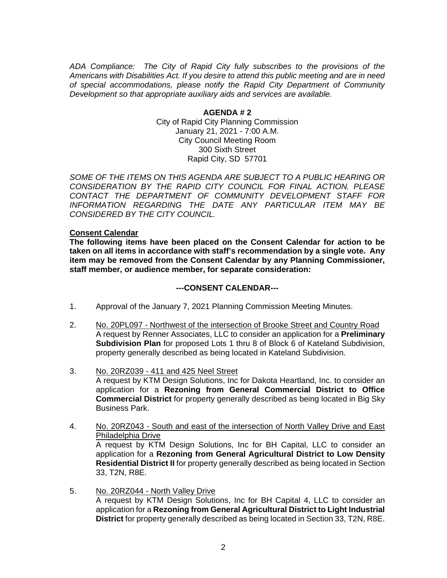*ADA Compliance: The City of Rapid City fully subscribes to the provisions of the Americans with Disabilities Act. If you desire to attend this public meeting and are in need of special accommodations, please notify the Rapid City Department of Community Development so that appropriate auxiliary aids and services are available.*

> **AGENDA # 2** City of Rapid City Planning Commission January 21, 2021 - 7:00 A.M. City Council Meeting Room 300 Sixth Street Rapid City, SD 57701

*SOME OF THE ITEMS ON THIS AGENDA ARE SUBJECT TO A PUBLIC HEARING OR CONSIDERATION BY THE RAPID CITY COUNCIL FOR FINAL ACTION. PLEASE CONTACT THE DEPARTMENT OF COMMUNITY DEVELOPMENT STAFF FOR INFORMATION REGARDING THE DATE ANY PARTICULAR ITEM MAY BE CONSIDERED BY THE CITY COUNCIL.*

### **Consent Calendar**

**The following items have been placed on the Consent Calendar for action to be taken on all items in accordance with staff's recommendation by a single vote. Any item may be removed from the Consent Calendar by any Planning Commissioner, staff member, or audience member, for separate consideration:**

## **---CONSENT CALENDAR---**

- 1. Approval of the January 7, 2021 Planning Commission Meeting Minutes.
- 2. No. 20PL097 Northwest of the intersection of Brooke Street and Country Road A request by Renner Associates, LLC to consider an application for a **Preliminary Subdivision Plan** for proposed Lots 1 thru 8 of Block 6 of Kateland Subdivision, property generally described as being located in Kateland Subdivision.
- 3. No. 20RZ039 411 and 425 Neel Street A request by KTM Design Solutions, Inc for Dakota Heartland, Inc. to consider an application for a **Rezoning from General Commercial District to Office Commercial District** for property generally described as being located in Big Sky Business Park.
- 4. No. 20RZ043 South and east of the intersection of North Valley Drive and East Philadelphia Drive A request by KTM Design Solutions, Inc for BH Capital, LLC to consider an application for a **Rezoning from General Agricultural District to Low Density Residential District II** for property generally described as being located in Section 33, T2N, R8E.
- 5. No. 20RZ044 North Valley Drive A request by KTM Design Solutions, Inc for BH Capital 4, LLC to consider an application for a **Rezoning from General Agricultural District to Light Industrial District** for property generally described as being located in Section 33, T2N, R8E.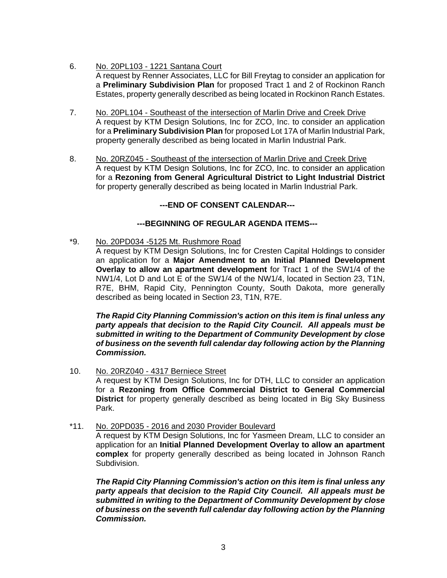- 6. No. 20PL103 1221 Santana Court A request by Renner Associates, LLC for Bill Freytag to consider an application for a **Preliminary Subdivision Plan** for proposed Tract 1 and 2 of Rockinon Ranch Estates, property generally described as being located in Rockinon Ranch Estates.
- 7. No. 20PL104 Southeast of the intersection of Marlin Drive and Creek Drive A request by KTM Design Solutions, Inc for ZCO, Inc. to consider an application for a **Preliminary Subdivision Plan** for proposed Lot 17A of Marlin Industrial Park, property generally described as being located in Marlin Industrial Park.
- 8. No. 20RZ045 Southeast of the intersection of Marlin Drive and Creek Drive A request by KTM Design Solutions, Inc for ZCO, Inc. to consider an application for a **Rezoning from General Agricultural District to Light Industrial District** for property generally described as being located in Marlin Industrial Park.

**---END OF CONSENT CALENDAR---**

# **---BEGINNING OF REGULAR AGENDA ITEMS---**

\*9. No. 20PD034 -5125 Mt. Rushmore Road

A request by KTM Design Solutions, Inc for Cresten Capital Holdings to consider an application for a **Major Amendment to an Initial Planned Development Overlay to allow an apartment development** for Tract 1 of the SW1/4 of the NW1/4, Lot D and Lot E of the SW1/4 of the NW1/4, located in Section 23, T1N, R7E, BHM, Rapid City, Pennington County, South Dakota, more generally described as being located in Section 23, T1N, R7E.

*The Rapid City Planning Commission's action on this item is final unless any party appeals that decision to the Rapid City Council. All appeals must be submitted in writing to the Department of Community Development by close of business on the seventh full calendar day following action by the Planning Commission.*

- 10. No. 20RZ040 4317 Berniece Street A request by KTM Design Solutions, Inc for DTH, LLC to consider an application for a **Rezoning from Office Commercial District to General Commercial District** for property generally described as being located in Big Sky Business Park.
- \*11. No. 20PD035 2016 and 2030 Provider Boulevard

A request by KTM Design Solutions, Inc for Yasmeen Dream, LLC to consider an application for an **Initial Planned Development Overlay to allow an apartment complex** for property generally described as being located in Johnson Ranch Subdivision.

*The Rapid City Planning Commission's action on this item is final unless any party appeals that decision to the Rapid City Council. All appeals must be submitted in writing to the Department of Community Development by close of business on the seventh full calendar day following action by the Planning Commission.*